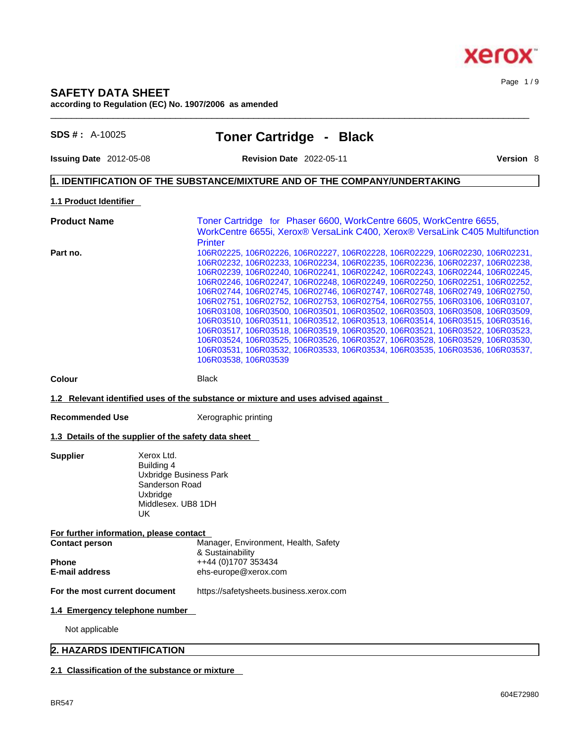# **SAFETY DATA SHEET according to Regulation (EC) No. 1907/2006 as amended**

**SDS # :** A-10025 **Toner Cartridge - Black**

 $\_$  ,  $\_$  ,  $\_$  ,  $\_$  ,  $\_$  ,  $\_$  ,  $\_$  ,  $\_$  ,  $\_$  ,  $\_$  ,  $\_$  ,  $\_$  ,  $\_$  ,  $\_$  ,  $\_$  ,  $\_$  ,  $\_$  ,  $\_$  ,  $\_$  ,  $\_$  ,  $\_$  ,  $\_$  ,  $\_$  ,  $\_$  ,  $\_$  ,  $\_$  ,  $\_$  ,  $\_$  ,  $\_$  ,  $\_$  ,  $\_$  ,  $\_$  ,  $\_$  ,  $\_$  ,  $\_$  ,  $\_$  ,  $\_$  ,

**Issuing Date** 2012-05-08 **Revision Date** 2022-05-11 **Version** 8

Page 1 / 9

# **1. IDENTIFICATION OF THE SUBSTANCE/MIXTURE AND OF THE COMPANY/UNDERTAKING**

# **1.1 Product Identifier**

**Product Name Toner Cartridge for Phaser 6600, WorkCentre 6605, WorkCentre 6655,** WorkCentre 6655i, Xerox® VersaLink C400, Xerox® VersaLink C405 Multifunction **Printer Part no.** 106R02225, 106R02226, 106R02227, 106R02228, 106R02229, 106R02230, 106R02231, 106R02232, 106R02233, 106R02234, 106R02235, 106R02236, 106R02237, 106R02238, 106R02239, 106R02240, 106R02241, 106R02242, 106R02243, 106R02244, 106R02245, 106R02246, 106R02247, 106R02248, 106R02249, 106R02250, 106R02251, 106R02252, 106R02744, 106R02745, 106R02746, 106R02747, 106R02748, 106R02749, 106R02750, 106R02751, 106R02752, 106R02753, 106R02754, 106R02755, 106R03106, 106R03107, 106R03108, 106R03500, 106R03501, 106R03502, 106R03503, 106R03508, 106R03509, 106R03510, 106R03511, 106R03512, 106R03513, 106R03514, 106R03515, 106R03516, 106R03517, 106R03518, 106R03519, 106R03520, 106R03521, 106R03522, 106R03523, 106R03524, 106R03525, 106R03526, 106R03527, 106R03528, 106R03529, 106R03530, 106R03531, 106R03532, 106R03533, 106R03534, 106R03535, 106R03536, 106R03537, 106R03538, 106R03539

**Colour Black** 

**Supplier** 

#### **1.2 Relevant identified uses of the substance or mixture and uses advised against**

**Recommended Use** Xerographic printing

#### **1.3 Details of the supplier of the safety data sheet**

| Xerox Ltd.             |
|------------------------|
| Building 4             |
| Uxbridge Business Park |
| Sanderson Road         |
| Uxbridge               |
| Middlesex, UB8 1DH     |
| l IK                   |

**For further information, please contact**

| <b>Contact person</b> | Manager, Environment, Health, Safety |
|-----------------------|--------------------------------------|
|                       | & Sustainability                     |
| <b>Phone</b>          | ++44 (0)1707 353434                  |
| <b>E-mail address</b> | ehs-europe@xerox.com                 |

**For the most current document** https://safetysheets.business.xerox.com

#### **1.4 Emergency telephone number**

Not applicable

# **2. HAZARDS IDENTIFICATION**

# **2.1 Classification of the substance or mixture**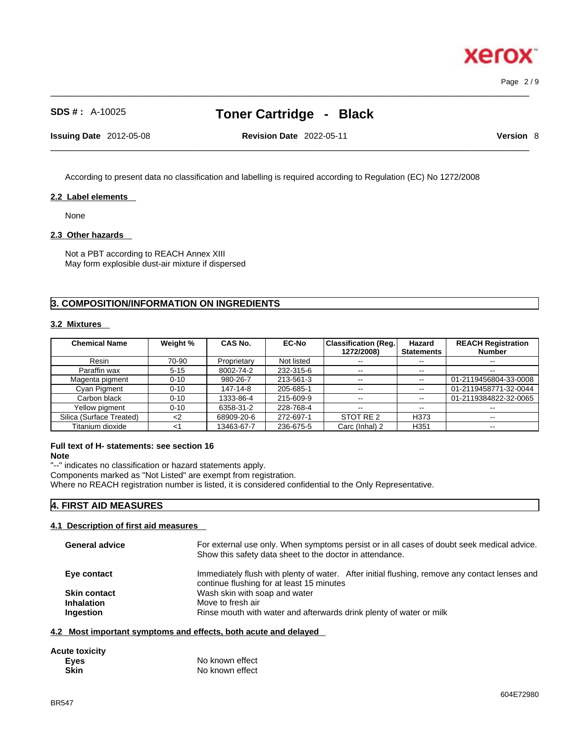Page 2 / 9

# **SDS # :** A-10025 **Toner Cartridge - Black**

 $\_$  ,  $\_$  ,  $\_$  ,  $\_$  ,  $\_$  ,  $\_$  ,  $\_$  ,  $\_$  ,  $\_$  ,  $\_$  ,  $\_$  ,  $\_$  ,  $\_$  ,  $\_$  ,  $\_$  ,  $\_$  ,  $\_$  ,  $\_$  ,  $\_$  ,  $\_$  ,  $\_$  ,  $\_$  ,  $\_$  ,  $\_$  ,  $\_$  ,  $\_$  ,  $\_$  ,  $\_$  ,  $\_$  ,  $\_$  ,  $\_$  ,  $\_$  ,  $\_$  ,  $\_$  ,  $\_$  ,  $\_$  ,  $\_$  ,

**Issuing Date** 2012-05-08 **Revision Date** 2022-05-11 **Version** 8

 $\_$  ,  $\_$  ,  $\_$  ,  $\_$  ,  $\_$  ,  $\_$  ,  $\_$  ,  $\_$  ,  $\_$  ,  $\_$  ,  $\_$  ,  $\_$  ,  $\_$  ,  $\_$  ,  $\_$  ,  $\_$  ,  $\_$  ,  $\_$  ,  $\_$  ,  $\_$  ,  $\_$  ,  $\_$  ,  $\_$  ,  $\_$  ,  $\_$  ,  $\_$  ,  $\_$  ,  $\_$  ,  $\_$  ,  $\_$  ,  $\_$  ,  $\_$  ,  $\_$  ,  $\_$  ,  $\_$  ,  $\_$  ,  $\_$  ,

According to present data no classification and labelling is required according to Regulation (EC) No 1272/2008

# **2.2 Label elements**

None

#### **2.3 Other hazards**

Not a PBT according to REACH Annex XIII May form explosible dust-air mixture if dispersed

# **3. COMPOSITION/INFORMATION ON INGREDIENTS**

#### **3.2 Mixtures**

| <b>Chemical Name</b>     | Weight %    | CAS No.     | <b>EC-No</b> | <b>Classification (Reg.</b><br>1272/2008) | Hazard<br><b>Statements</b> | <b>REACH Registration</b><br><b>Number</b> |
|--------------------------|-------------|-------------|--------------|-------------------------------------------|-----------------------------|--------------------------------------------|
| Resin                    | 70-90       | Proprietary | Not listed   | $- -$                                     | $\overline{\phantom{m}}$    | $\sim$ $\sim$                              |
| Paraffin wax             | $5 - 15$    | 8002-74-2   | 232-315-6    | $- -$                                     | $\overline{\phantom{m}}$    | $\overline{\phantom{m}}$                   |
| Magenta pigment          | $0 - 10$    | 980-26-7    | 213-561-3    | $\overline{\phantom{m}}$                  | $\sim$ $\sim$               | 01-2119456804-33-0008                      |
| Cyan Pigment             | $0 - 10$    | 147-14-8    | 205-685-1    | $\sim$ $\sim$                             | $\overline{\phantom{a}}$    | 01-2119458771-32-0044                      |
| Carbon black             | $0 - 10$    | 1333-86-4   | 215-609-9    | $\overline{\phantom{a}}$                  | $\sim$ $\sim$               | 01-2119384822-32-0065                      |
| Yellow pigment           | $0 - 10$    | 6358-31-2   | 228-768-4    | $- -$                                     | $\overline{\phantom{m}}$    | $\overline{\phantom{m}}$                   |
| Silica (Surface Treated) | $\langle$ 2 | 68909-20-6  | 272-697-1    | STOT RE 2                                 | H373                        | $\overline{\phantom{m}}$                   |
| Titanium dioxide         | <1          | 13463-67-7  | 236-675-5    | Carc (Inhal) 2                            | H <sub>351</sub>            | $-$                                        |

# **Full text of H- statements: see section 16**

**Note**

"--" indicates no classification or hazard statements apply.

Components marked as "Not Listed" are exempt from registration.

Where no REACH registration number is listed, it is considered confidential to the Only Representative.

# **4. FIRST AID MEASURES**

### **4.1 Description of first aid measures**

| <b>General advice</b> | For external use only. When symptoms persist or in all cases of doubt seek medical advice.<br>Show this safety data sheet to the doctor in attendance. |
|-----------------------|--------------------------------------------------------------------------------------------------------------------------------------------------------|
| Eye contact           | Immediately flush with plenty of water. After initial flushing, remove any contact lenses and<br>continue flushing for at least 15 minutes             |
| <b>Skin contact</b>   | Wash skin with soap and water                                                                                                                          |
| <b>Inhalation</b>     | Move to fresh air                                                                                                                                      |
| Ingestion             | Rinse mouth with water and afterwards drink plenty of water or milk                                                                                    |
|                       |                                                                                                                                                        |

#### **4.2 Most important symptoms and effects, both acute and delayed**

| <b>Acute toxicity</b> |                 |
|-----------------------|-----------------|
| Eyes                  | No known effect |
| <b>Skin</b>           | No known effect |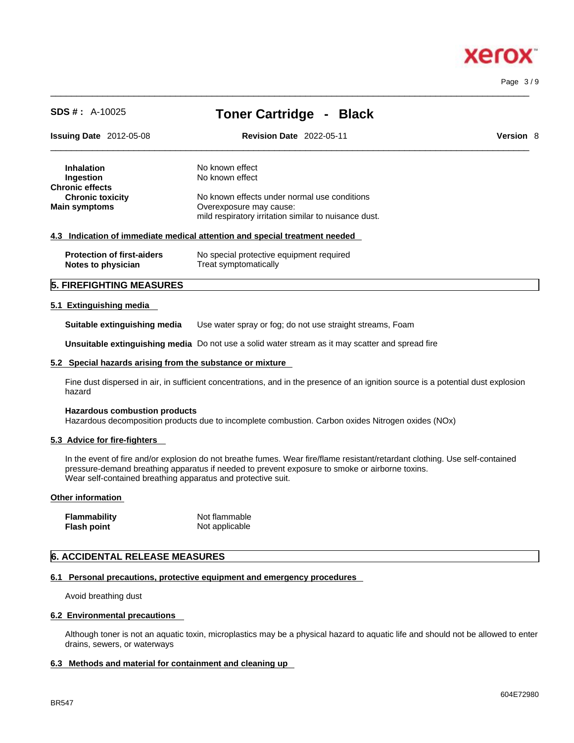# xero

Page 3 / 9

| <b>SDS #: A-10025</b>             | <b>Toner Cartridge - Black</b>                                             |                  |
|-----------------------------------|----------------------------------------------------------------------------|------------------|
| <b>Issuing Date</b> 2012-05-08    | <b>Revision Date 2022-05-11</b>                                            | <b>Version 8</b> |
| <b>Inhalation</b>                 | No known effect                                                            |                  |
| Ingestion                         | No known effect                                                            |                  |
| <b>Chronic effects</b>            |                                                                            |                  |
| <b>Chronic toxicity</b>           | No known effects under normal use conditions                               |                  |
| <b>Main symptoms</b>              | Overexposure may cause:                                                    |                  |
|                                   | mild respiratory irritation similar to nuisance dust.                      |                  |
|                                   | 4.3 Indication of immediate medical attention and special treatment needed |                  |
| <b>Protection of first-aiders</b> | No special protective equipment required                                   |                  |
| Notes to physician                | Treat symptomatically                                                      |                  |
| <b>5. FIREFIGHTING MEASURES</b>   |                                                                            |                  |

 $\_$  ,  $\_$  ,  $\_$  ,  $\_$  ,  $\_$  ,  $\_$  ,  $\_$  ,  $\_$  ,  $\_$  ,  $\_$  ,  $\_$  ,  $\_$  ,  $\_$  ,  $\_$  ,  $\_$  ,  $\_$  ,  $\_$  ,  $\_$  ,  $\_$  ,  $\_$  ,  $\_$  ,  $\_$  ,  $\_$  ,  $\_$  ,  $\_$  ,  $\_$  ,  $\_$  ,  $\_$  ,  $\_$  ,  $\_$  ,  $\_$  ,  $\_$  ,  $\_$  ,  $\_$  ,  $\_$  ,  $\_$  ,  $\_$  ,

**Suitable extinguishing media** Use water spray or fog; do not use straight streams, Foam

**Unsuitable extinguishing media** Do not use a solid water stream as it may scatterand spread fire

#### **5.2 Special hazards arising from the substance or mixture**

Fine dust dispersed in air, in sufficient concentrations, and in the presence of an ignition source is a potential dust explosion hazard

#### **Hazardous combustion products**

Hazardous decomposition products due to incomplete combustion. Carbon oxides Nitrogen oxides (NOx)

#### **5.3 Advice for fire-fighters**

In the event of fire and/or explosion do not breathe fumes. Wear fire/flame resistant/retardant clothing. Use self-contained pressure-demand breathing apparatus if needed to prevent exposure to smoke or airborne toxins. Wear self-contained breathing apparatus and protective suit.

#### **Other information**

| Flammability | Not flammable  |
|--------------|----------------|
| Flash point  | Not applicable |

# **6. ACCIDENTAL RELEASE MEASURES**

#### **6.1 Personal precautions, protective equipment and emergency procedures**

Avoid breathing dust

#### **6.2 Environmental precautions**

Although toner is not an aquatic toxin, microplastics may be a physical hazard to aquatic life and should not be allowed to enter drains, sewers, or waterways

#### **6.3 Methods and material for containment and cleaning up**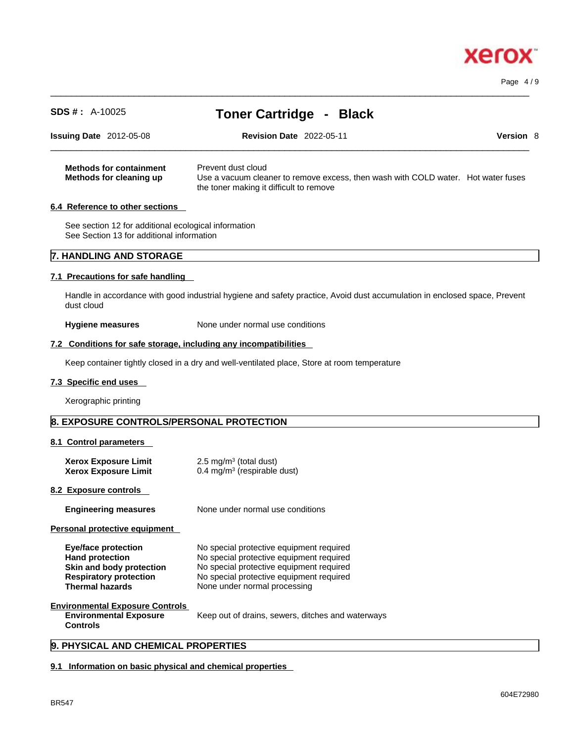Page 4 / 9

| <b>SDS #: A-10025</b>                                                                                                                       | <b>Toner Cartridge - Black</b>                                                                                                                                                                               |
|---------------------------------------------------------------------------------------------------------------------------------------------|--------------------------------------------------------------------------------------------------------------------------------------------------------------------------------------------------------------|
| <b>Issuing Date</b> 2012-05-08                                                                                                              | <b>Revision Date 2022-05-11</b><br><b>Version 8</b>                                                                                                                                                          |
| <b>Methods for containment</b><br>Methods for cleaning up                                                                                   | Prevent dust cloud<br>Use a vacuum cleaner to remove excess, then wash with COLD water. Hot water fuses<br>the toner making it difficult to remove                                                           |
| 6.4 Reference to other sections                                                                                                             |                                                                                                                                                                                                              |
| See section 12 for additional ecological information<br>See Section 13 for additional information                                           |                                                                                                                                                                                                              |
| <b>7. HANDLING AND STORAGE</b>                                                                                                              |                                                                                                                                                                                                              |
| 7.1 Precautions for safe handling                                                                                                           |                                                                                                                                                                                                              |
| dust cloud                                                                                                                                  | Handle in accordance with good industrial hygiene and safety practice, Avoid dust accumulation in enclosed space, Prevent                                                                                    |
| <b>Hygiene measures</b>                                                                                                                     | None under normal use conditions                                                                                                                                                                             |
| 7.2 Conditions for safe storage, including any incompatibilities                                                                            |                                                                                                                                                                                                              |
|                                                                                                                                             | Keep container tightly closed in a dry and well-ventilated place, Store at room temperature                                                                                                                  |
| 7.3 Specific end uses                                                                                                                       |                                                                                                                                                                                                              |
| Xerographic printing                                                                                                                        |                                                                                                                                                                                                              |
| 8. EXPOSURE CONTROLS/PERSONAL PROTECTION                                                                                                    |                                                                                                                                                                                                              |
| 8.1 Control parameters                                                                                                                      |                                                                                                                                                                                                              |
| <b>Xerox Exposure Limit</b><br><b>Xerox Exposure Limit</b>                                                                                  | 2.5 mg/m $3$ (total dust)<br>0.4 mg/m <sup>3</sup> (respirable dust)                                                                                                                                         |
| 8.2 Exposure controls                                                                                                                       |                                                                                                                                                                                                              |
| <b>Engineering measures</b>                                                                                                                 | None under normal use conditions                                                                                                                                                                             |
| Personal protective equipment                                                                                                               |                                                                                                                                                                                                              |
| <b>Eye/face protection</b><br><b>Hand protection</b><br>Skin and body protection<br><b>Respiratory protection</b><br><b>Thermal hazards</b> | No special protective equipment required<br>No special protective equipment required<br>No special protective equipment required<br>No special protective equipment required<br>None under normal processing |
| <b>Environmental Exposure Controls</b><br><b>Environmental Exposure</b><br><b>Controls</b>                                                  | Keep out of drains, sewers, ditches and waterways                                                                                                                                                            |
|                                                                                                                                             |                                                                                                                                                                                                              |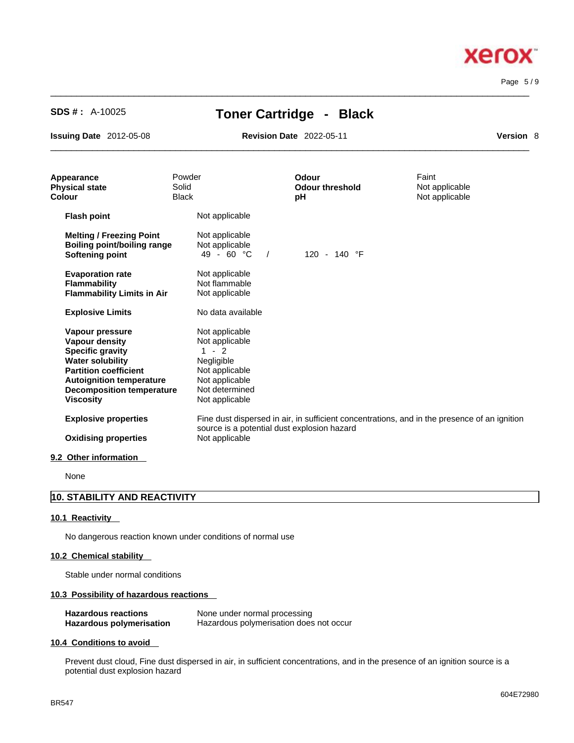Page 5 / 9

**Xerox** 

# **SDS # :** A-10025 **Toner Cartridge - Black**

 $\_$  ,  $\_$  ,  $\_$  ,  $\_$  ,  $\_$  ,  $\_$  ,  $\_$  ,  $\_$  ,  $\_$  ,  $\_$  ,  $\_$  ,  $\_$  ,  $\_$  ,  $\_$  ,  $\_$  ,  $\_$  ,  $\_$  ,  $\_$  ,  $\_$  ,  $\_$  ,  $\_$  ,  $\_$  ,  $\_$  ,  $\_$  ,  $\_$  ,  $\_$  ,  $\_$  ,  $\_$  ,  $\_$  ,  $\_$  ,  $\_$  ,  $\_$  ,  $\_$  ,  $\_$  ,  $\_$  ,  $\_$  ,  $\_$  ,

**Issuing Date** 2012-05-08 **Revision Date** 2022-05-11

 $\_$  ,  $\_$  ,  $\_$  ,  $\_$  ,  $\_$  ,  $\_$  ,  $\_$  ,  $\_$  ,  $\_$  ,  $\_$  ,  $\_$  ,  $\_$  ,  $\_$  ,  $\_$  ,  $\_$  ,  $\_$  ,  $\_$  ,  $\_$  ,  $\_$  ,  $\_$  ,  $\_$  ,  $\_$  ,  $\_$  ,  $\_$  ,  $\_$  ,  $\_$  ,  $\_$  ,  $\_$  ,  $\_$  ,  $\_$  ,  $\_$  ,  $\_$  ,  $\_$  ,  $\_$  ,  $\_$  ,  $\_$  ,  $\_$  ,

| Version | 8 |
|---------|---|
|         |   |

| Appearance<br><b>Physical state</b><br>Colour                                                                                                                                                                             | Powder<br>Solid<br><b>Black</b>                                                                                                   | <b>Odour</b><br><b>Odour threshold</b><br>pH | Faint<br>Not applicable<br>Not applicable                                                    |
|---------------------------------------------------------------------------------------------------------------------------------------------------------------------------------------------------------------------------|-----------------------------------------------------------------------------------------------------------------------------------|----------------------------------------------|----------------------------------------------------------------------------------------------|
| <b>Flash point</b>                                                                                                                                                                                                        | Not applicable                                                                                                                    |                                              |                                                                                              |
| <b>Melting / Freezing Point</b><br><b>Boiling point/boiling range</b><br><b>Softening point</b>                                                                                                                           | Not applicable<br>Not applicable<br>$49 - 60 °C$<br>$\sqrt{2}$                                                                    | 120 - 140 °F                                 |                                                                                              |
| <b>Evaporation rate</b><br><b>Flammability</b><br><b>Flammability Limits in Air</b>                                                                                                                                       | Not applicable<br>Not flammable<br>Not applicable                                                                                 |                                              |                                                                                              |
| <b>Explosive Limits</b>                                                                                                                                                                                                   | No data available                                                                                                                 |                                              |                                                                                              |
| Vapour pressure<br><b>Vapour density</b><br><b>Specific gravity</b><br><b>Water solubility</b><br><b>Partition coefficient</b><br><b>Autoignition temperature</b><br><b>Decomposition temperature</b><br><b>Viscosity</b> | Not applicable<br>Not applicable<br>$1 - 2$<br>Negligible<br>Not applicable<br>Not applicable<br>Not determined<br>Not applicable |                                              |                                                                                              |
| <b>Explosive properties</b><br><b>Oxidising properties</b>                                                                                                                                                                | source is a potential dust explosion hazard<br>Not applicable                                                                     |                                              | Fine dust dispersed in air, in sufficient concentrations, and in the presence of an ignition |
| 9.2 Other information                                                                                                                                                                                                     |                                                                                                                                   |                                              |                                                                                              |

None

# **10. STABILITY AND REACTIVITY**

# **10.1 Reactivity**

No dangerous reaction known under conditions of normal use

#### **10.2 Chemical stability**

Stable under normal conditions

# **10.3 Possibility of hazardous reactions**

| <b>Hazardous reactions</b>      | None under normal processing            |
|---------------------------------|-----------------------------------------|
| <b>Hazardous polymerisation</b> | Hazardous polymerisation does not occur |

#### **10.4 Conditions to avoid**

Prevent dust cloud, Fine dust dispersed in air, in sufficient concentrations, and in the presence of an ignition source is a potential dust explosion hazard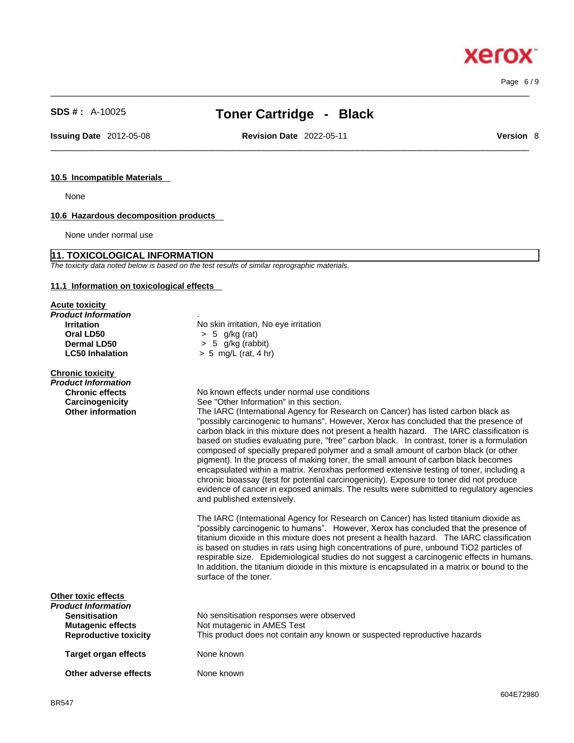# **SDS # :** A-10025 **Toner Cartridge - Black**

 $\_$  ,  $\_$  ,  $\_$  ,  $\_$  ,  $\_$  ,  $\_$  ,  $\_$  ,  $\_$  ,  $\_$  ,  $\_$  ,  $\_$  ,  $\_$  ,  $\_$  ,  $\_$  ,  $\_$  ,  $\_$  ,  $\_$  ,  $\_$  ,  $\_$  ,  $\_$  ,  $\_$  ,  $\_$  ,  $\_$  ,  $\_$  ,  $\_$  ,  $\_$  ,  $\_$  ,  $\_$  ,  $\_$  ,  $\_$  ,  $\_$  ,  $\_$  ,  $\_$  ,  $\_$  ,  $\_$  ,  $\_$  ,  $\_$  ,

**Issuing Date** 2012-05-08 **Revision Date** 2022-05-11 **Version** 8

 $\_$  ,  $\_$  ,  $\_$  ,  $\_$  ,  $\_$  ,  $\_$  ,  $\_$  ,  $\_$  ,  $\_$  ,  $\_$  ,  $\_$  ,  $\_$  ,  $\_$  ,  $\_$  ,  $\_$  ,  $\_$  ,  $\_$  ,  $\_$  ,  $\_$  ,  $\_$  ,  $\_$  ,  $\_$  ,  $\_$  ,  $\_$  ,  $\_$  ,  $\_$  ,  $\_$  ,  $\_$  ,  $\_$  ,  $\_$  ,  $\_$  ,  $\_$  ,  $\_$  ,  $\_$  ,  $\_$  ,  $\_$  ,  $\_$  ,

Page 6 / 9

#### **10.5 Incompatible Materials**

None

# **10.6 Hazardous decomposition products**

None under normal use

# **11. TOXICOLOGICAL INFORMATION**

*The toxicity data noted below is based on the test results of similar reprographic materials.* 

#### **11.1 Information on toxicological effects**

#### **Acute toxicity**

| Product Information    |                                       |
|------------------------|---------------------------------------|
| <b>Irritation</b>      | No skin irritation, No eye irritation |
| Oral LD50              | $> 5$ g/kg (rat)                      |
| Dermal LD50            | $> 5$ g/kg (rabbit)                   |
| <b>LC50 Inhalation</b> | $> 5$ mg/L (rat, 4 hr)                |

# **Chronic toxicity**

| <b>THE ALLA CALALA</b>       |                                                                                                                                                                                                                                                                                                                                                                                                                                                                                                                                                                                                                                                                                                                                                                                                                                                                     |
|------------------------------|---------------------------------------------------------------------------------------------------------------------------------------------------------------------------------------------------------------------------------------------------------------------------------------------------------------------------------------------------------------------------------------------------------------------------------------------------------------------------------------------------------------------------------------------------------------------------------------------------------------------------------------------------------------------------------------------------------------------------------------------------------------------------------------------------------------------------------------------------------------------|
| Product Information          |                                                                                                                                                                                                                                                                                                                                                                                                                                                                                                                                                                                                                                                                                                                                                                                                                                                                     |
| <b>Chronic effects</b>       | No known effects under normal use conditions                                                                                                                                                                                                                                                                                                                                                                                                                                                                                                                                                                                                                                                                                                                                                                                                                        |
| Carcinogenicity              | See "Other Information" in this section.                                                                                                                                                                                                                                                                                                                                                                                                                                                                                                                                                                                                                                                                                                                                                                                                                            |
| <b>Other information</b>     | The IARC (International Agency for Research on Cancer) has listed carbon black as<br>"possibly carcinogenic to humans". However, Xerox has concluded that the presence of<br>carbon black in this mixture does not present a health hazard. The IARC classification is<br>based on studies evaluating pure, "free" carbon black. In contrast, toner is a formulation<br>composed of specially prepared polymer and a small amount of carbon black (or other<br>pigment). In the process of making toner, the small amount of carbon black becomes<br>encapsulated within a matrix. Xeroxhas performed extensive testing of toner, including a<br>chronic bioassay (test for potential carcinogenicity). Exposure to toner did not produce<br>evidence of cancer in exposed animals. The results were submitted to regulatory agencies<br>and published extensively. |
|                              | The IARC (International Agency for Research on Cancer) has listed titanium dioxide as<br>"possibly carcinogenic to humans". However, Xerox has concluded that the presence of<br>titanium dioxide in this mixture does not present a health hazard. The IARC classification<br>is based on studies in rats using high concentrations of pure, unbound TiO2 particles of<br>respirable size. Epidemiological studies do not suggest a carcinogenic effects in humans.<br>In addition, the titanium dioxide in this mixture is encapsulated in a matrix or bound to the<br>surface of the toner.                                                                                                                                                                                                                                                                      |
| Other toxic effects          |                                                                                                                                                                                                                                                                                                                                                                                                                                                                                                                                                                                                                                                                                                                                                                                                                                                                     |
| Product Information          |                                                                                                                                                                                                                                                                                                                                                                                                                                                                                                                                                                                                                                                                                                                                                                                                                                                                     |
| <b>Sensitisation</b>         | No sensitisation responses were observed                                                                                                                                                                                                                                                                                                                                                                                                                                                                                                                                                                                                                                                                                                                                                                                                                            |
| <b>Mutagenic effects</b>     | Not mutagenic in AMES Test                                                                                                                                                                                                                                                                                                                                                                                                                                                                                                                                                                                                                                                                                                                                                                                                                                          |
| <b>Reproductive toxicity</b> | This product does not contain any known or suspected reproductive hazards                                                                                                                                                                                                                                                                                                                                                                                                                                                                                                                                                                                                                                                                                                                                                                                           |
| <b>Target organ effects</b>  | None known                                                                                                                                                                                                                                                                                                                                                                                                                                                                                                                                                                                                                                                                                                                                                                                                                                                          |
|                              |                                                                                                                                                                                                                                                                                                                                                                                                                                                                                                                                                                                                                                                                                                                                                                                                                                                                     |

**Other adverse effects** None known

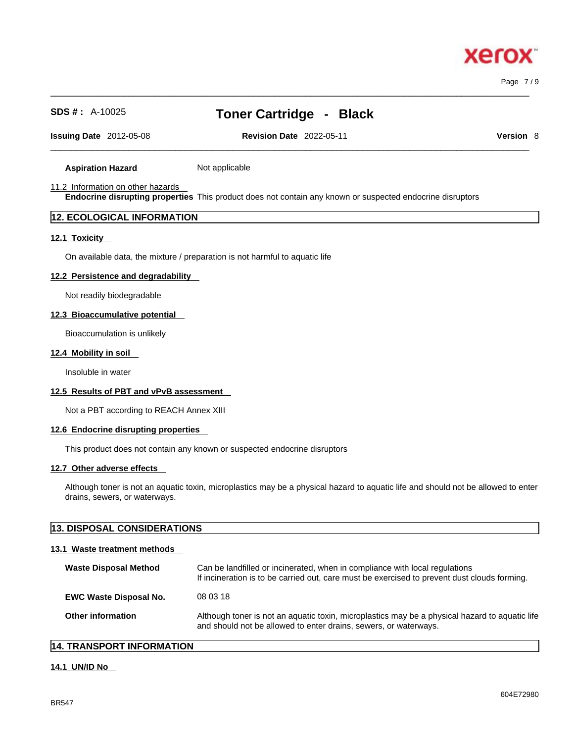xero

# **SDS # :** A-10025 **Toner Cartridge - Black**

**Issuing Date** 2012-05-08 **Revision Date** 2022-05-11 **Version** 8

 $\_$  ,  $\_$  ,  $\_$  ,  $\_$  ,  $\_$  ,  $\_$  ,  $\_$  ,  $\_$  ,  $\_$  ,  $\_$  ,  $\_$  ,  $\_$  ,  $\_$  ,  $\_$  ,  $\_$  ,  $\_$  ,  $\_$  ,  $\_$  ,  $\_$  ,  $\_$  ,  $\_$  ,  $\_$  ,  $\_$  ,  $\_$  ,  $\_$  ,  $\_$  ,  $\_$  ,  $\_$  ,  $\_$  ,  $\_$  ,  $\_$  ,  $\_$  ,  $\_$  ,  $\_$  ,  $\_$  ,  $\_$  ,  $\_$  ,

**Aspiration Hazard** Not applicable

#### 11.2 Information on other hazards

**Endocrine disrupting properties** This product does not contain any known or suspected endocrine disruptors

# **12. ECOLOGICAL INFORMATION**

#### **12.1 Toxicity**

On available data, the mixture / preparation is not harmful to aquatic life

#### **12.2 Persistence and degradability**

Not readily biodegradable

### **12.3 Bioaccumulative potential**

Bioaccumulation is unlikely

#### **12.4 Mobility in soil**

Insoluble in water

# **12.5 Results of PBT and vPvB assessment**

Not a PBT according to REACH Annex XIII

#### **12.6 Endocrine disrupting properties**

This product does not contain any known or suspected endocrine disruptors

#### **12.7 Other adverse effects**

Although toner is not an aquatic toxin, microplastics may be a physical hazard to aquatic life and should not be allowed to enter drains, sewers, or waterways.

| 13. DISPOSAL CONSIDERATIONS   |                                                                                                                                                                             |
|-------------------------------|-----------------------------------------------------------------------------------------------------------------------------------------------------------------------------|
| 13.1 Waste treatment methods  |                                                                                                                                                                             |
| <b>Waste Disposal Method</b>  | Can be landfilled or incinerated, when in compliance with local regulations<br>If incineration is to be carried out, care must be exercised to prevent dust clouds forming. |
| <b>EWC Waste Disposal No.</b> | 08 03 18                                                                                                                                                                    |
| Other information             | Although toner is not an aquatic toxin, microplastics may be a physical hazard to aquatic life<br>and should not be allowed to enter drains, sewers, or waterways.          |

# **14. TRANSPORT INFORMATION**

#### **14.1 UN/ID No**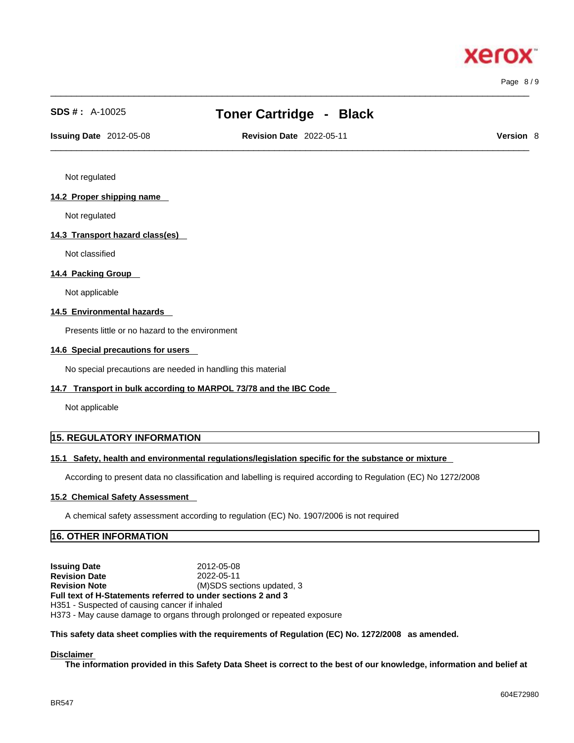$\_$  ,  $\_$  ,  $\_$  ,  $\_$  ,  $\_$  ,  $\_$  ,  $\_$  ,  $\_$  ,  $\_$  ,  $\_$  ,  $\_$  ,  $\_$  ,  $\_$  ,  $\_$  ,  $\_$  ,  $\_$  ,  $\_$  ,  $\_$  ,  $\_$  ,  $\_$  ,  $\_$  ,  $\_$  ,  $\_$  ,  $\_$  ,  $\_$  ,  $\_$  ,  $\_$  ,  $\_$  ,  $\_$  ,  $\_$  ,  $\_$  ,  $\_$  ,  $\_$  ,  $\_$  ,  $\_$  ,  $\_$  ,  $\_$  ,

# **SDS # :** A-10025 **Toner Cartridge - Black**

 $\_$  ,  $\_$  ,  $\_$  ,  $\_$  ,  $\_$  ,  $\_$  ,  $\_$  ,  $\_$  ,  $\_$  ,  $\_$  ,  $\_$  ,  $\_$  ,  $\_$  ,  $\_$  ,  $\_$  ,  $\_$  ,  $\_$  ,  $\_$  ,  $\_$  ,  $\_$  ,  $\_$  ,  $\_$  ,  $\_$  ,  $\_$  ,  $\_$  ,  $\_$  ,  $\_$  ,  $\_$  ,  $\_$  ,  $\_$  ,  $\_$  ,  $\_$  ,  $\_$  ,  $\_$  ,  $\_$  ,  $\_$  ,  $\_$  , **Issuing Date** 2012-05-08 **Revision Date** 2022-05-11 **Version** 8

Page 8 / 9

Not regulated

#### **14.2 Proper shipping name**

Not regulated

#### **14.3 Transport hazard class(es)**

Not classified

# **14.4 Packing Group**

Not applicable

#### **14.5 Environmental hazards**

Presents little or no hazard to the environment

#### **14.6 Special precautions for users**

No special precautions are needed in handling this material

#### **14.7 Transport in bulk according to MARPOL 73/78 and the IBC Code**

Not applicable

# **15. REGULATORY INFORMATION**

# **15.1 Safety, health and environmental regulations/legislation specific for the substance or mixture**

According to present data no classification and labelling is required according to Regulation (EC) No 1272/2008

#### **15.2 Chemical Safety Assessment**

A chemical safety assessment according to regulation (EC) No. 1907/2006 is not required

# **16. OTHER INFORMATION**

**Issuing Date** 2012-05-08 **Revision Date** 2022-05-11 **Revision Note** (M)SDS sections updated, 3 **Full text of H-Statements referred to undersections 2 and 3** H351 - Suspected of causing cancer if inhaled H373 - May cause damage to organs through prolonged or repeated exposure

#### **This safety data sheet complies with the requirements of Regulation (EC) No. 1272/2008 as amended.**

#### **Disclaimer**

The information provided in this Safety Data Sheet is correct to the best of our knowledge, information and belief at